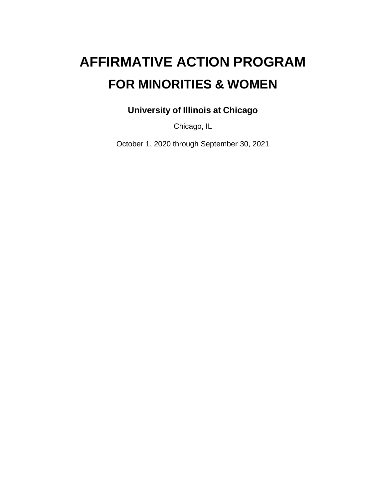# **AFFIRMATIVE ACTION PROGRAM FOR MINORITIES & WOMEN**

**University of Illinois at Chicago**

Chicago, IL

October 1, 2020 through September 30, 2021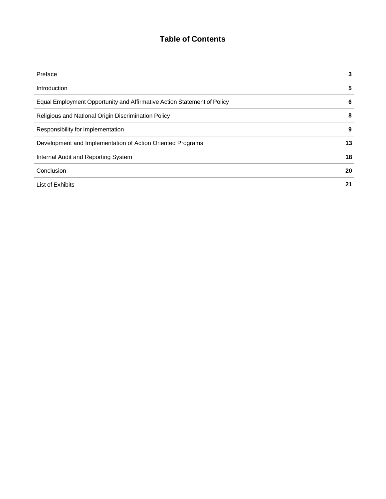# **Table of Contents**

| Preface                                                                 | 3  |
|-------------------------------------------------------------------------|----|
| Introduction                                                            | 5  |
| Equal Employment Opportunity and Affirmative Action Statement of Policy | 6  |
| Religious and National Origin Discrimination Policy                     | 8  |
| Responsibility for Implementation                                       | 9  |
| Development and Implementation of Action Oriented Programs              | 13 |
| Internal Audit and Reporting System                                     | 18 |
| Conclusion                                                              | 20 |
| List of Exhibits                                                        | 21 |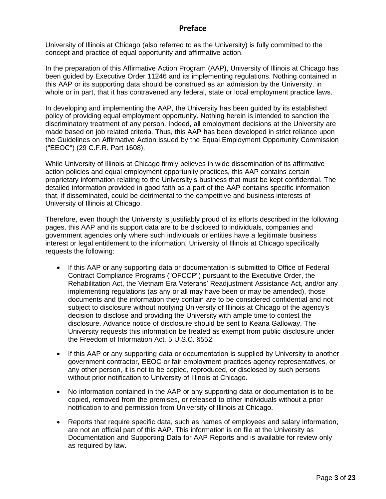#### **Preface**

University of Illinois at Chicago (also referred to as the University) is fully committed to the concept and practice of equal opportunity and affirmative action.

In the preparation of this Affirmative Action Program (AAP), University of Illinois at Chicago has been guided by Executive Order 11246 and its implementing regulations. Nothing contained in this AAP or its supporting data should be construed as an admission by the University, in whole or in part, that it has contravened any federal, state or local employment practice laws.

In developing and implementing the AAP, the University has been guided by its established policy of providing equal employment opportunity. Nothing herein is intended to sanction the discriminatory treatment of any person. Indeed, all employment decisions at the University are made based on job related criteria. Thus, this AAP has been developed in strict reliance upon the Guidelines on Affirmative Action issued by the Equal Employment Opportunity Commission ("EEOC") (29 C.F.R. Part 1608).

While University of Illinois at Chicago firmly believes in wide dissemination of its affirmative action policies and equal employment opportunity practices, this AAP contains certain proprietary information relating to the University's business that must be kept confidential. The detailed information provided in good faith as a part of the AAP contains specific information that, if disseminated, could be detrimental to the competitive and business interests of University of Illinois at Chicago.

Therefore, even though the University is justifiably proud of its efforts described in the following pages, this AAP and its support data are to be disclosed to individuals, companies and government agencies only where such individuals or entities have a legitimate business interest or legal entitlement to the information. University of Illinois at Chicago specifically requests the following:

- If this AAP or any supporting data or documentation is submitted to Office of Federal Contract Compliance Programs ("OFCCP") pursuant to the Executive Order, the Rehabilitation Act, the Vietnam Era Veterans' Readjustment Assistance Act, and/or any implementing regulations (as any or all may have been or may be amended), those documents and the information they contain are to be considered confidential and not subject to disclosure without notifying University of Illinois at Chicago of the agency's decision to disclose and providing the University with ample time to contest the disclosure. Advance notice of disclosure should be sent to Keana Galloway. The University requests this information be treated as exempt from public disclosure under the Freedom of Information Act, 5 U.S.C. §552.
- If this AAP or any supporting data or documentation is supplied by University to another government contractor, EEOC or fair employment practices agency representatives, or any other person, it is not to be copied, reproduced, or disclosed by such persons without prior notification to University of Illinois at Chicago.
- No information contained in the AAP or any supporting data or documentation is to be copied, removed from the premises, or released to other individuals without a prior notification to and permission from University of Illinois at Chicago.
- Reports that require specific data, such as names of employees and salary information, are not an official part of this AAP. This information is on file at the University as Documentation and Supporting Data for AAP Reports and is available for review only as required by law.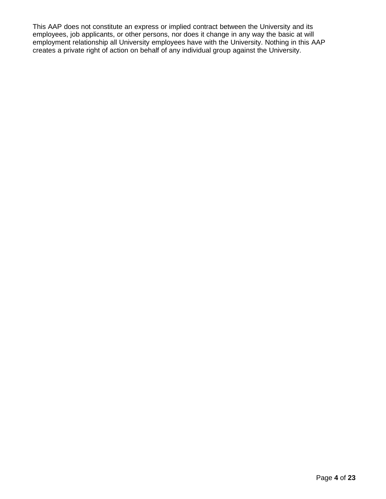This AAP does not constitute an express or implied contract between the University and its employees, job applicants, or other persons, nor does it change in any way the basic at will employment relationship all University employees have with the University. Nothing in this AAP creates a private right of action on behalf of any individual group against the University.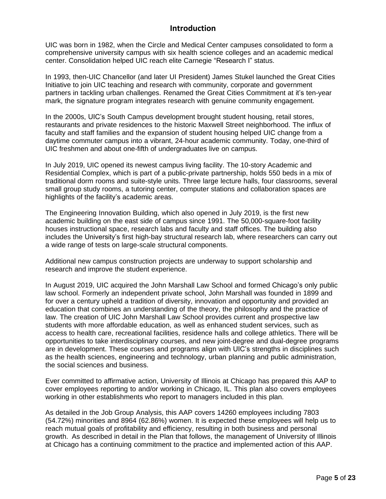#### **Introduction**

UIC was born in 1982, when the Circle and Medical Center campuses consolidated to form a comprehensive university campus with six health science colleges and an academic medical center. Consolidation helped UIC reach elite Carnegie "Research I" status.

In 1993, then-UIC Chancellor (and later UI President) James Stukel launched the Great Cities Initiative to join UIC teaching and research with community, corporate and government partners in tackling urban challenges. Renamed the Great Cities Commitment at it's ten-year mark, the signature program integrates research with genuine community engagement.

In the 2000s, UIC's South Campus development brought student housing, retail stores, restaurants and private residences to the historic Maxwell Street neighborhood. The influx of faculty and staff families and the expansion of student housing helped UIC change from a daytime commuter campus into a vibrant, 24-hour academic community. Today, one-third of UIC freshmen and about one-fifth of undergraduates live on campus.

In July 2019, UIC opened its newest campus living facility. The 10-story Academic and Residential Complex, which is part of a public-private partnership, holds 550 beds in a mix of traditional dorm rooms and suite-style units. Three large lecture halls, four classrooms, several small group study rooms, a tutoring center, computer stations and collaboration spaces are highlights of the facility's academic areas.

The Engineering Innovation Building, which also opened in July 2019, is the first new academic building on the east side of campus since 1991. The 50,000-square-foot facility houses instructional space, research labs and faculty and staff offices. The building also includes the University's first high-bay structural research lab, where researchers can carry out a wide range of tests on large-scale structural components.

Additional new campus construction projects are underway to support scholarship and research and improve the student experience.

In August 2019, UIC acquired the John Marshall Law School and formed Chicago's only public law school. Formerly an independent private school, John Marshall was founded in 1899 and for over a century upheld a tradition of diversity, innovation and opportunity and provided an education that combines an understanding of the theory, the philosophy and the practice of law. The creation of UIC John Marshall Law School provides current and prospective law students with more affordable education, as well as enhanced student services, such as access to health care, recreational facilities, residence halls and college athletics. There will be opportunities to take interdisciplinary courses, and new joint-degree and dual-degree programs are in development. These courses and programs align with UIC's strengths in disciplines such as the health sciences, engineering and technology, urban planning and public administration, the social sciences and business.

Ever committed to affirmative action, University of Illinois at Chicago has prepared this AAP to cover employees reporting to and/or working in Chicago, IL. This plan also covers employees working in other establishments who report to managers included in this plan.

As detailed in the Job Group Analysis, this AAP covers 14260 employees including 7803 (54.72%) minorities and 8964 (62.86%) women. It is expected these employees will help us to reach mutual goals of profitability and efficiency, resulting in both business and personal growth. As described in detail in the Plan that follows, the management of University of Illinois at Chicago has a continuing commitment to the practice and implemented action of this AAP.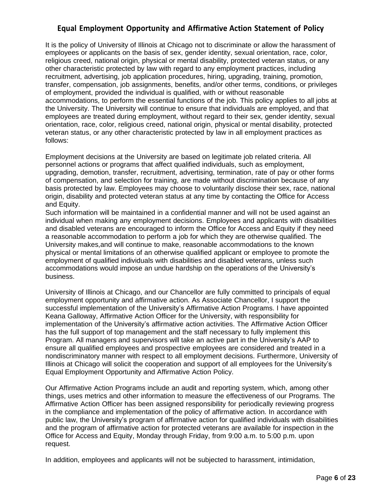# **Equal Employment Opportunity and Affirmative Action Statement of Policy**

It is the policy of University of Illinois at Chicago not to discriminate or allow the harassment of employees or applicants on the basis of sex, gender identity, sexual orientation, race, color, religious creed, national origin, physical or mental disability, protected veteran status, or any other characteristic protected by law with regard to any employment practices, including recruitment, advertising, job application procedures, hiring, upgrading, training, promotion, transfer, compensation, job assignments, benefits, and/or other terms, conditions, or privileges of employment, provided the individual is qualified, with or without reasonable accommodations, to perform the essential functions of the job. This policy applies to all jobs at the University. The University will continue to ensure that individuals are employed, and that employees are treated during employment, without regard to their sex, gender identity, sexual orientation, race, color, religious creed, national origin, physical or mental disability, protected veteran status, or any other characteristic protected by law in all employment practices as follows:

Employment decisions at the University are based on legitimate job related criteria. All personnel actions or programs that affect qualified individuals, such as employment, upgrading, demotion, transfer, recruitment, advertising, termination, rate of pay or other forms of compensation, and selection for training, are made without discrimination because of any basis protected by law. Employees may choose to voluntarily disclose their sex, race, national origin, disability and protected veteran status at any time by contacting the Office for Access and Equity.

Such information will be maintained in a confidential manner and will not be used against an individual when making any employment decisions. Employees and applicants with disabilities and disabled veterans are encouraged to inform the Office for Access and Equity if they need a reasonable accommodation to perform a job for which they are otherwise qualified. The University makes,and will continue to make, reasonable accommodations to the known physical or mental limitations of an otherwise qualified applicant or employee to promote the employment of qualified individuals with disabilities and disabled veterans, unless such accommodations would impose an undue hardship on the operations of the University's business.

University of Illinois at Chicago, and our Chancellor are fully committed to principals of equal employment opportunity and affirmative action. As Associate Chancellor, I support the successful implementation of the University's Affirmative Action Programs. I have appointed Keana Galloway, Affirmative Action Officer for the University, with responsibility for implementation of the University's affirmative action activities. The Affirmative Action Officer has the full support of top management and the staff necessary to fully implement this Program. All managers and supervisors will take an active part in the University's AAP to ensure all qualified employees and prospective employees are considered and treated in a nondiscriminatory manner with respect to all employment decisions. Furthermore, University of Illinois at Chicago will solicit the cooperation and support of all employees for the University's Equal Employment Opportunity and Affirmative Action Policy.

Our Affirmative Action Programs include an audit and reporting system, which, among other things, uses metrics and other information to measure the effectiveness of our Programs. The Affirmative Action Officer has been assigned responsibility for periodically reviewing progress in the compliance and implementation of the policy of affirmative action. In accordance with public law, the University's program of affirmative action for qualified individuals with disabilities and the program of affirmative action for protected veterans are available for inspection in the Office for Access and Equity, Monday through Friday, from 9:00 a.m. to 5:00 p.m. upon request.

In addition, employees and applicants will not be subjected to harassment, intimidation,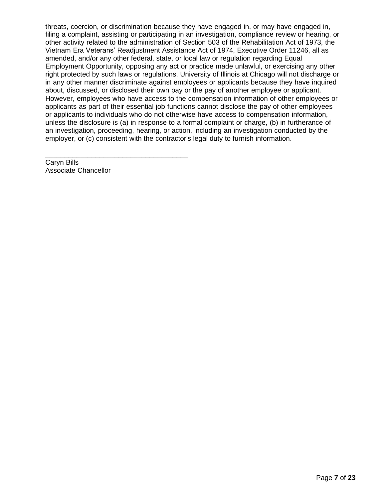threats, coercion, or discrimination because they have engaged in, or may have engaged in, filing a complaint, assisting or participating in an investigation, compliance review or hearing, or other activity related to the administration of Section 503 of the Rehabilitation Act of 1973, the Vietnam Era Veterans' Readjustment Assistance Act of 1974, Executive Order 11246, all as amended, and/or any other federal, state, or local law or regulation regarding Equal Employment Opportunity, opposing any act or practice made unlawful, or exercising any other right protected by such laws or regulations. University of Illinois at Chicago will not discharge or in any other manner discriminate against employees or applicants because they have inquired about, discussed, or disclosed their own pay or the pay of another employee or applicant. However, employees who have access to the compensation information of other employees or applicants as part of their essential job functions cannot disclose the pay of other employees or applicants to individuals who do not otherwise have access to compensation information, unless the disclosure is (a) in response to a formal complaint or charge, (b) in furtherance of an investigation, proceeding, hearing, or action, including an investigation conducted by the employer, or (c) consistent with the contractor's legal duty to furnish information.

Caryn Bills Associate Chancellor

\_\_\_\_\_\_\_\_\_\_\_\_\_\_\_\_\_\_\_\_\_\_\_\_\_\_\_\_\_\_\_\_\_\_\_\_\_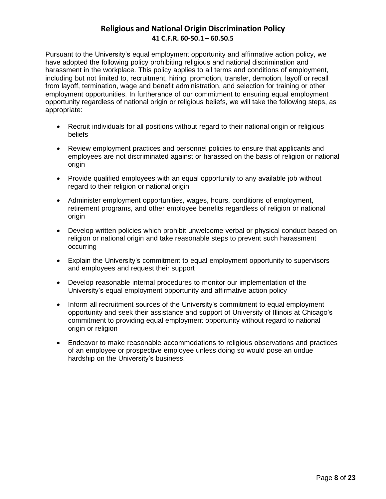# **Religious and National Origin Discrimination Policy 41 C.F.R. 60-50.1 – 60.50.5**

Pursuant to the University's equal employment opportunity and affirmative action policy, we have adopted the following policy prohibiting religious and national discrimination and harassment in the workplace. This policy applies to all terms and conditions of employment, including but not limited to, recruitment, hiring, promotion, transfer, demotion, layoff or recall from layoff, termination, wage and benefit administration, and selection for training or other employment opportunities. In furtherance of our commitment to ensuring equal employment opportunity regardless of national origin or religious beliefs, we will take the following steps, as appropriate:

- Recruit individuals for all positions without regard to their national origin or religious beliefs
- Review employment practices and personnel policies to ensure that applicants and employees are not discriminated against or harassed on the basis of religion or national origin
- Provide qualified employees with an equal opportunity to any available job without regard to their religion or national origin
- Administer employment opportunities, wages, hours, conditions of employment, retirement programs, and other employee benefits regardless of religion or national origin
- Develop written policies which prohibit unwelcome verbal or physical conduct based on religion or national origin and take reasonable steps to prevent such harassment occurring
- Explain the University's commitment to equal employment opportunity to supervisors and employees and request their support
- Develop reasonable internal procedures to monitor our implementation of the University's equal employment opportunity and affirmative action policy
- Inform all recruitment sources of the University's commitment to equal employment opportunity and seek their assistance and support of University of Illinois at Chicago's commitment to providing equal employment opportunity without regard to national origin or religion
- Endeavor to make reasonable accommodations to religious observations and practices of an employee or prospective employee unless doing so would pose an undue hardship on the University's business.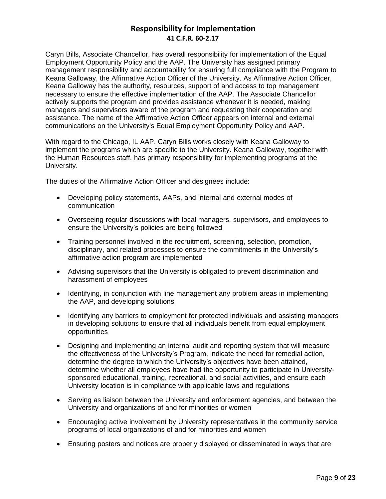## **Responsibility for Implementation 41 C.F.R. 60-2.17**

Caryn Bills, Associate Chancellor, has overall responsibility for implementation of the Equal Employment Opportunity Policy and the AAP. The University has assigned primary management responsibility and accountability for ensuring full compliance with the Program to Keana Galloway, the Affirmative Action Officer of the University. As Affirmative Action Officer, Keana Galloway has the authority, resources, support of and access to top management necessary to ensure the effective implementation of the AAP. The Associate Chancellor actively supports the program and provides assistance whenever it is needed, making managers and supervisors aware of the program and requesting their cooperation and assistance. The name of the Affirmative Action Officer appears on internal and external communications on the University's Equal Employment Opportunity Policy and AAP.

With regard to the Chicago, IL AAP, Caryn Bills works closely with Keana Galloway to implement the programs which are specific to the University. Keana Galloway, together with the Human Resources staff, has primary responsibility for implementing programs at the University.

The duties of the Affirmative Action Officer and designees include:

- Developing policy statements, AAPs, and internal and external modes of communication
- Overseeing regular discussions with local managers, supervisors, and employees to ensure the University's policies are being followed
- Training personnel involved in the recruitment, screening, selection, promotion, disciplinary, and related processes to ensure the commitments in the University's affirmative action program are implemented
- Advising supervisors that the University is obligated to prevent discrimination and harassment of employees
- Identifying, in conjunction with line management any problem areas in implementing the AAP, and developing solutions
- Identifying any barriers to employment for protected individuals and assisting managers in developing solutions to ensure that all individuals benefit from equal employment opportunities
- Designing and implementing an internal audit and reporting system that will measure the effectiveness of the University's Program, indicate the need for remedial action, determine the degree to which the University's objectives have been attained, determine whether all employees have had the opportunity to participate in Universitysponsored educational, training, recreational, and social activities, and ensure each University location is in compliance with applicable laws and regulations
- Serving as liaison between the University and enforcement agencies, and between the University and organizations of and for minorities or women
- Encouraging active involvement by University representatives in the community service programs of local organizations of and for minorities and women
- Ensuring posters and notices are properly displayed or disseminated in ways that are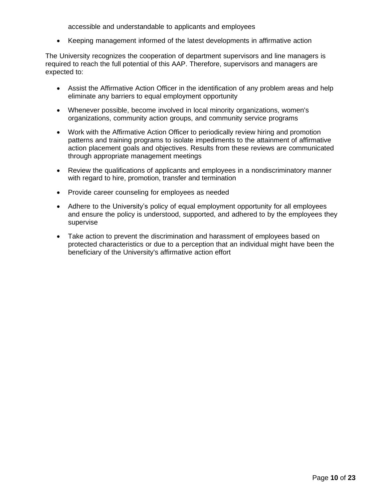accessible and understandable to applicants and employees

• Keeping management informed of the latest developments in affirmative action

The University recognizes the cooperation of department supervisors and line managers is required to reach the full potential of this AAP. Therefore, supervisors and managers are expected to:

- Assist the Affirmative Action Officer in the identification of any problem areas and help eliminate any barriers to equal employment opportunity
- Whenever possible, become involved in local minority organizations, women's organizations, community action groups, and community service programs
- Work with the Affirmative Action Officer to periodically review hiring and promotion patterns and training programs to isolate impediments to the attainment of affirmative action placement goals and objectives. Results from these reviews are communicated through appropriate management meetings
- Review the qualifications of applicants and employees in a nondiscriminatory manner with regard to hire, promotion, transfer and termination
- Provide career counseling for employees as needed
- Adhere to the University's policy of equal employment opportunity for all employees and ensure the policy is understood, supported, and adhered to by the employees they supervise
- Take action to prevent the discrimination and harassment of employees based on protected characteristics or due to a perception that an individual might have been the beneficiary of the University's affirmative action effort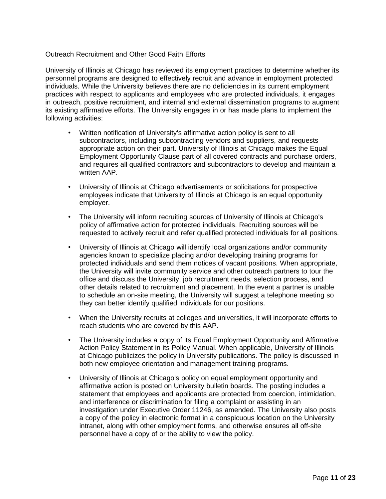#### Outreach Recruitment and Other Good Faith Efforts

University of Illinois at Chicago has reviewed its employment practices to determine whether its personnel programs are designed to effectively recruit and advance in employment protected individuals. While the University believes there are no deficiencies in its current employment practices with respect to applicants and employees who are protected individuals, it engages in outreach, positive recruitment, and internal and external dissemination programs to augment its existing affirmative efforts. The University engages in or has made plans to implement the following activities:

- Written notification of University's affirmative action policy is sent to all subcontractors, including subcontracting vendors and suppliers, and requests appropriate action on their part. University of Illinois at Chicago makes the Equal Employment Opportunity Clause part of all covered contracts and purchase orders, and requires all qualified contractors and subcontractors to develop and maintain a written AAP.
- University of Illinois at Chicago advertisements or solicitations for prospective employees indicate that University of Illinois at Chicago is an equal opportunity employer.
- The University will inform recruiting sources of University of Illinois at Chicago's policy of affirmative action for protected individuals. Recruiting sources will be requested to actively recruit and refer qualified protected individuals for all positions.
- University of Illinois at Chicago will identify local organizations and/or community agencies known to specialize placing and/or developing training programs for protected individuals and send them notices of vacant positions. When appropriate, the University will invite community service and other outreach partners to tour the office and discuss the University, job recruitment needs, selection process, and other details related to recruitment and placement. In the event a partner is unable to schedule an on-site meeting, the University will suggest a telephone meeting so they can better identify qualified individuals for our positions.
- When the University recruits at colleges and universities, it will incorporate efforts to reach students who are covered by this AAP.
- The University includes a copy of its Equal Employment Opportunity and Affirmative Action Policy Statement in its Policy Manual. When applicable, University of Illinois at Chicago publicizes the policy in University publications. The policy is discussed in both new employee orientation and management training programs.
- University of Illinois at Chicago's policy on equal employment opportunity and affirmative action is posted on University bulletin boards. The posting includes a statement that employees and applicants are protected from coercion, intimidation, and interference or discrimination for filing a complaint or assisting in an investigation under Executive Order 11246, as amended. The University also posts a copy of the policy in electronic format in a conspicuous location on the University intranet, along with other employment forms, and otherwise ensures all off-site personnel have a copy of or the ability to view the policy.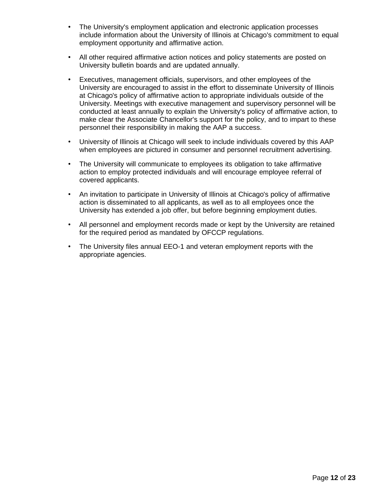- The University's employment application and electronic application processes include information about the University of Illinois at Chicago's commitment to equal employment opportunity and affirmative action.
- All other required affirmative action notices and policy statements are posted on University bulletin boards and are updated annually.
- Executives, management officials, supervisors, and other employees of the University are encouraged to assist in the effort to disseminate University of Illinois at Chicago's policy of affirmative action to appropriate individuals outside of the University. Meetings with executive management and supervisory personnel will be conducted at least annually to explain the University's policy of affirmative action, to make clear the Associate Chancellor's support for the policy, and to impart to these personnel their responsibility in making the AAP a success.
- University of Illinois at Chicago will seek to include individuals covered by this AAP when employees are pictured in consumer and personnel recruitment advertising.
- The University will communicate to employees its obligation to take affirmative action to employ protected individuals and will encourage employee referral of covered applicants.
- An invitation to participate in University of Illinois at Chicago's policy of affirmative action is disseminated to all applicants, as well as to all employees once the University has extended a job offer, but before beginning employment duties.
- All personnel and employment records made or kept by the University are retained for the required period as mandated by OFCCP regulations.
- The University files annual EEO-1 and veteran employment reports with the appropriate agencies.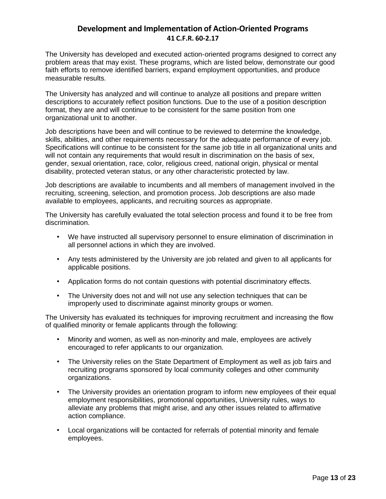### **Development and Implementation of Action-Oriented Programs 41 C.F.R. 60-2.17**

The University has developed and executed action-oriented programs designed to correct any problem areas that may exist. These programs, which are listed below, demonstrate our good faith efforts to remove identified barriers, expand employment opportunities, and produce measurable results.

The University has analyzed and will continue to analyze all positions and prepare written descriptions to accurately reflect position functions. Due to the use of a position description format, they are and will continue to be consistent for the same position from one organizational unit to another.

Job descriptions have been and will continue to be reviewed to determine the knowledge, skills, abilities, and other requirements necessary for the adequate performance of every job. Specifications will continue to be consistent for the same job title in all organizational units and will not contain any requirements that would result in discrimination on the basis of sex, gender, sexual orientation, race, color, religious creed, national origin, physical or mental disability, protected veteran status, or any other characteristic protected by law.

Job descriptions are available to incumbents and all members of management involved in the recruiting, screening, selection, and promotion process. Job descriptions are also made available to employees, applicants, and recruiting sources as appropriate.

The University has carefully evaluated the total selection process and found it to be free from discrimination.

- We have instructed all supervisory personnel to ensure elimination of discrimination in all personnel actions in which they are involved.
- Any tests administered by the University are job related and given to all applicants for applicable positions.
- Application forms do not contain questions with potential discriminatory effects.
- The University does not and will not use any selection techniques that can be improperly used to discriminate against minority groups or women.

The University has evaluated its techniques for improving recruitment and increasing the flow of qualified minority or female applicants through the following:

- Minority and women, as well as non-minority and male, employees are actively encouraged to refer applicants to our organization.
- The University relies on the State Department of Employment as well as job fairs and recruiting programs sponsored by local community colleges and other community organizations.
- The University provides an orientation program to inform new employees of their equal employment responsibilities, promotional opportunities, University rules, ways to alleviate any problems that might arise, and any other issues related to affirmative action compliance.
- Local organizations will be contacted for referrals of potential minority and female employees.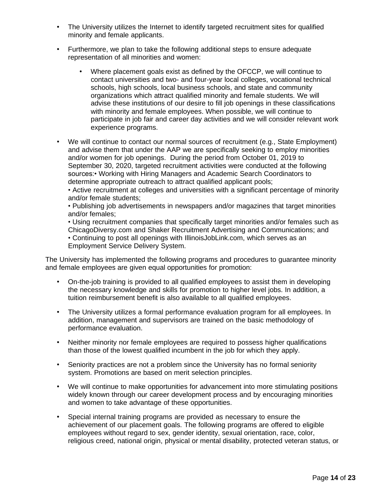- The University utilizes the Internet to identify targeted recruitment sites for qualified minority and female applicants.
- Furthermore, we plan to take the following additional steps to ensure adequate representation of all minorities and women:
	- Where placement goals exist as defined by the OFCCP, we will continue to contact universities and two- and four-year local colleges, vocational technical schools, high schools, local business schools, and state and community organizations which attract qualified minority and female students. We will advise these institutions of our desire to fill job openings in these classifications with minority and female employees. When possible, we will continue to participate in job fair and career day activities and we will consider relevant work experience programs.
- We will continue to contact our normal sources of recruitment (e.g., State Employment) and advise them that under the AAP we are specifically seeking to employ minorities and/or women for job openings. During the period from October 01, 2019 to September 30, 2020, targeted recruitment activities were conducted at the following sources:• Working with Hiring Managers and Academic Search Coordinators to determine appropriate outreach to attract qualified applicant pools;

• Active recruitment at colleges and universities with a significant percentage of minority and/or female students;

• Publishing job advertisements in newspapers and/or magazines that target minorities and/or females;

• Using recruitment companies that specifically target minorities and/or females such as ChicagoDiversy.com and Shaker Recruitment Advertising and Communications; and

• Continuing to post all openings with IllinoisJobLink.com, which serves as an Employment Service Delivery System.

The University has implemented the following programs and procedures to guarantee minority and female employees are given equal opportunities for promotion:

- On-the-job training is provided to all qualified employees to assist them in developing the necessary knowledge and skills for promotion to higher level jobs. In addition, a tuition reimbursement benefit is also available to all qualified employees.
- The University utilizes a formal performance evaluation program for all employees. In addition, management and supervisors are trained on the basic methodology of performance evaluation.
- Neither minority nor female employees are required to possess higher qualifications than those of the lowest qualified incumbent in the job for which they apply.
- Seniority practices are not a problem since the University has no formal seniority system. Promotions are based on merit selection principles.
- We will continue to make opportunities for advancement into more stimulating positions widely known through our career development process and by encouraging minorities and women to take advantage of these opportunities.
- Special internal training programs are provided as necessary to ensure the achievement of our placement goals. The following programs are offered to eligible employees without regard to sex, gender identity, sexual orientation, race, color, religious creed, national origin, physical or mental disability, protected veteran status, or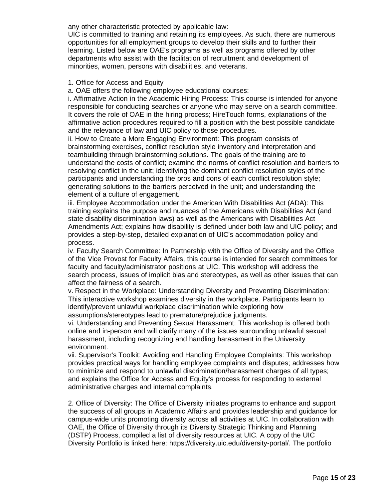any other characteristic protected by applicable law:

UIC is committed to training and retaining its employees. As such, there are numerous opportunities for all employment groups to develop their skills and to further their learning. Listed below are OAE's programs as well as programs offered by other departments who assist with the facilitation of recruitment and development of minorities, women, persons with disabilities, and veterans.

#### 1. Office for Access and Equity

a. OAE offers the following employee educational courses:

i. Affirmative Action in the Academic Hiring Process: This course is intended for anyone responsible for conducting searches or anyone who may serve on a search committee. It covers the role of OAE in the hiring process; HireTouch forms, explanations of the affirmative action procedures required to fill a position with the best possible candidate and the relevance of law and UIC policy to those procedures.

ii. How to Create a More Engaging Environment: This program consists of brainstorming exercises, conflict resolution style inventory and interpretation and teambuilding through brainstorming solutions. The goals of the training are to understand the costs of conflict; examine the norms of conflict resolution and barriers to resolving conflict in the unit; identifying the dominant conflict resolution styles of the participants and understanding the pros and cons of each conflict resolution style; generating solutions to the barriers perceived in the unit; and understanding the element of a culture of engagement.

iii. Employee Accommodation under the American With Disabilities Act (ADA): This training explains the purpose and nuances of the Americans with Disabilities Act (and state disability discrimination laws) as well as the Americans with Disabilities Act Amendments Act; explains how disability is defined under both law and UIC policy; and provides a step-by-step, detailed explanation of UIC's accommodation policy and process.

iv. Faculty Search Committee: In Partnership with the Office of Diversity and the Office of the Vice Provost for Faculty Affairs, this course is intended for search committees for faculty and faculty/administrator positions at UIC. This workshop will address the search process, issues of implicit bias and stereotypes, as well as other issues that can affect the fairness of a search.

v. Respect in the Workplace: Understanding Diversity and Preventing Discrimination: This interactive workshop examines diversity in the workplace. Participants learn to identify/prevent unlawful workplace discrimination while exploring how assumptions/stereotypes lead to premature/prejudice judgments.

vi. Understanding and Preventing Sexual Harassment: This workshop is offered both online and in-person and will clarify many of the issues surrounding unlawful sexual harassment, including recognizing and handling harassment in the University environment.

vii. Supervisor's Toolkit: Avoiding and Handling Employee Complaints: This workshop provides practical ways for handling employee complaints and disputes; addresses how to minimize and respond to unlawful discrimination/harassment charges of all types; and explains the Office for Access and Equity's process for responding to external administrative charges and internal complaints.

2. Office of Diversity: The Office of Diversity initiates programs to enhance and support the success of all groups in Academic Affairs and provides leadership and guidance for campus-wide units promoting diversity across all activities at UIC. In collaboration with OAE, the Office of Diversity through its Diversity Strategic Thinking and Planning (DSTP) Process, compiled a list of diversity resources at UIC. A copy of the UIC Diversity Portfolio is linked here: https://diversity.uic.edu/diversity-portal/. The portfolio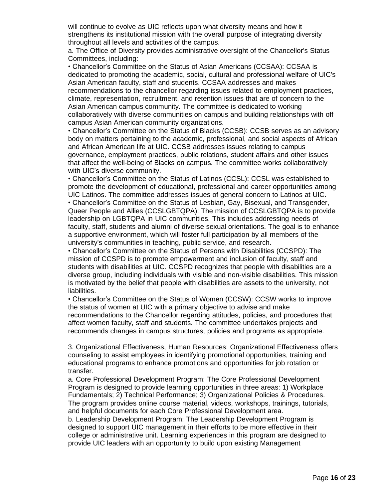will continue to evolve as UIC reflects upon what diversity means and how it strengthens its institutional mission with the overall purpose of integrating diversity throughout all levels and activities of the campus.

a. The Office of Diversity provides administrative oversight of the Chancellor's Status Committees, including:

• Chancellor's Committee on the Status of Asian Americans (CCSAA): CCSAA is dedicated to promoting the academic, social, cultural and professional welfare of UIC's Asian American faculty, staff and students. CCSAA addresses and makes recommendations to the chancellor regarding issues related to employment practices, climate, representation, recruitment, and retention issues that are of concern to the Asian American campus community. The committee is dedicated to working collaboratively with diverse communities on campus and building relationships with off campus Asian American community organizations.

• Chancellor's Committee on the Status of Blacks (CCSB): CCSB serves as an advisory body on matters pertaining to the academic, professional, and social aspects of African and African American life at UIC. CCSB addresses issues relating to campus governance, employment practices, public relations, student affairs and other issues that affect the well-being of Blacks on campus. The committee works collaboratively with UIC's diverse community.

• Chancellor's Committee on the Status of Latinos (CCSL): CCSL was established to promote the development of educational, professional and career opportunities among UIC Latinos. The committee addresses issues of general concern to Latinos at UIC.

• Chancellor's Committee on the Status of Lesbian, Gay, Bisexual, and Transgender, Queer People and Allies (CCSLGBTQPA): The mission of CCSLGBTQPA is to provide leadership on LGBTQPA in UIC communities. This includes addressing needs of faculty, staff, students and alumni of diverse sexual orientations. The goal is to enhance a supportive environment, which will foster full participation by all members of the university's communities in teaching, public service, and research.

• Chancellor's Committee on the Status of Persons with Disabilities (CCSPD): The mission of CCSPD is to promote empowerment and inclusion of faculty, staff and students with disabilities at UIC. CCSPD recognizes that people with disabilities are a diverse group, including individuals with visible and non-visible disabilities. This mission is motivated by the belief that people with disabilities are assets to the university, not liabilities.

• Chancellor's Committee on the Status of Women (CCSW): CCSW works to improve the status of women at UIC with a primary objective to advise and make recommendations to the Chancellor regarding attitudes, policies, and procedures that affect women faculty, staff and students. The committee undertakes projects and recommends changes in campus structures, policies and programs as appropriate.

3. Organizational Effectiveness, Human Resources: Organizational Effectiveness offers counseling to assist employees in identifying promotional opportunities, training and educational programs to enhance promotions and opportunities for job rotation or transfer.

a. Core Professional Development Program: The Core Professional Development Program is designed to provide learning opportunities in three areas: 1) Workplace Fundamentals; 2) Technical Performance; 3) Organizational Policies & Procedures. The program provides online course material, videos, workshops, trainings, tutorials, and helpful documents for each Core Professional Development area.

b. Leadership Development Program: The Leadership Development Program is designed to support UIC management in their efforts to be more effective in their college or administrative unit. Learning experiences in this program are designed to provide UIC leaders with an opportunity to build upon existing Management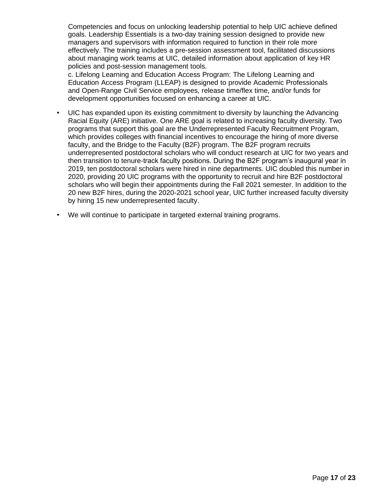Competencies and focus on unlocking leadership potential to help UIC achieve defined goals. Leadership Essentials is a two-day training session designed to provide new managers and supervisors with information required to function in their role more effectively. The training includes a pre-session assessment tool, facilitated discussions about managing work teams at UIC, detailed information about application of key HR policies and post-session management tools.

c. Lifelong Learning and Education Access Program: The Lifelong Learning and Education Access Program (LLEAP) is designed to provide Academic Professionals and Open-Range Civil Service employees, release time/flex time, and/or funds for development opportunities focused on enhancing a career at UIC.

- UIC has expanded upon its existing commitment to diversity by launching the Advancing Racial Equity (ARE) initiative. One ARE goal is related to increasing faculty diversity. Two programs that support this goal are the Underrepresented Faculty Recruitment Program, which provides colleges with financial incentives to encourage the hiring of more diverse faculty, and the Bridge to the Faculty (B2F) program. The B2F program recruits underrepresented postdoctoral scholars who will conduct research at UIC for two years and then transition to tenure-track faculty positions. During the B2F program's inaugural year in 2019, ten postdoctoral scholars were hired in nine departments. UIC doubled this number in 2020, providing 20 UIC programs with the opportunity to recruit and hire B2F postdoctoral scholars who will begin their appointments during the Fall 2021 semester. In addition to the 20 new B2F hires, during the 2020-2021 school year, UIC further increased faculty diversity by hiring 15 new underrepresented faculty.
- We will continue to participate in targeted external training programs.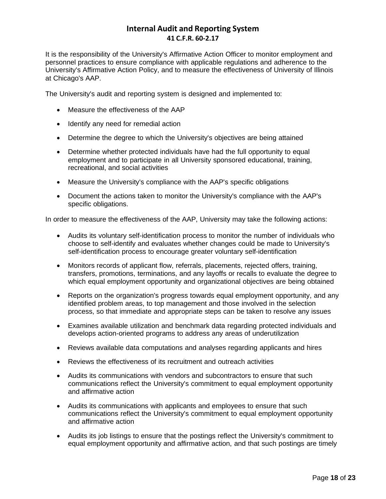## **Internal Audit and Reporting System 41 C.F.R. 60-2.17**

It is the responsibility of the University's Affirmative Action Officer to monitor employment and personnel practices to ensure compliance with applicable regulations and adherence to the University's Affirmative Action Policy, and to measure the effectiveness of University of Illinois at Chicago's AAP.

The University's audit and reporting system is designed and implemented to:

- Measure the effectiveness of the AAP
- Identify any need for remedial action
- Determine the degree to which the University's objectives are being attained
- Determine whether protected individuals have had the full opportunity to equal employment and to participate in all University sponsored educational, training, recreational, and social activities
- Measure the University's compliance with the AAP's specific obligations
- Document the actions taken to monitor the University's compliance with the AAP's specific obligations.

In order to measure the effectiveness of the AAP, University may take the following actions:

- Audits its voluntary self-identification process to monitor the number of individuals who choose to self-identify and evaluates whether changes could be made to University's self-identification process to encourage greater voluntary self-identification
- Monitors records of applicant flow, referrals, placements, rejected offers, training, transfers, promotions, terminations, and any layoffs or recalls to evaluate the degree to which equal employment opportunity and organizational objectives are being obtained
- Reports on the organization's progress towards equal employment opportunity, and any identified problem areas, to top management and those involved in the selection process, so that immediate and appropriate steps can be taken to resolve any issues
- Examines available utilization and benchmark data regarding protected individuals and develops action-oriented programs to address any areas of underutilization
- Reviews available data computations and analyses regarding applicants and hires
- Reviews the effectiveness of its recruitment and outreach activities
- Audits its communications with vendors and subcontractors to ensure that such communications reflect the University's commitment to equal employment opportunity and affirmative action
- Audits its communications with applicants and employees to ensure that such communications reflect the University's commitment to equal employment opportunity and affirmative action
- Audits its job listings to ensure that the postings reflect the University's commitment to equal employment opportunity and affirmative action, and that such postings are timely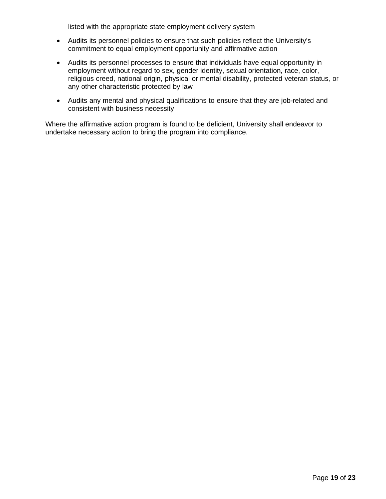listed with the appropriate state employment delivery system

- Audits its personnel policies to ensure that such policies reflect the University's commitment to equal employment opportunity and affirmative action
- Audits its personnel processes to ensure that individuals have equal opportunity in employment without regard to sex, gender identity, sexual orientation, race, color, religious creed, national origin, physical or mental disability, protected veteran status, or any other characteristic protected by law
- Audits any mental and physical qualifications to ensure that they are job-related and consistent with business necessity

Where the affirmative action program is found to be deficient, University shall endeavor to undertake necessary action to bring the program into compliance.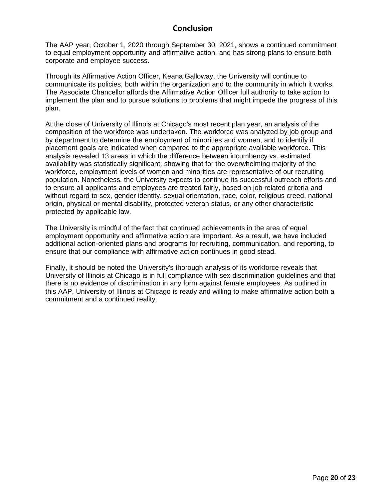#### **Conclusion**

The AAP year, October 1, 2020 through September 30, 2021, shows a continued commitment to equal employment opportunity and affirmative action, and has strong plans to ensure both corporate and employee success.

Through its Affirmative Action Officer, Keana Galloway, the University will continue to communicate its policies, both within the organization and to the community in which it works. The Associate Chancellor affords the Affirmative Action Officer full authority to take action to implement the plan and to pursue solutions to problems that might impede the progress of this plan.

At the close of University of Illinois at Chicago's most recent plan year, an analysis of the composition of the workforce was undertaken. The workforce was analyzed by job group and by department to determine the employment of minorities and women, and to identify if placement goals are indicated when compared to the appropriate available workforce. This analysis revealed 13 areas in which the difference between incumbency vs. estimated availability was statistically significant, showing that for the overwhelming majority of the workforce, employment levels of women and minorities are representative of our recruiting population. Nonetheless, the University expects to continue its successful outreach efforts and to ensure all applicants and employees are treated fairly, based on job related criteria and without regard to sex, gender identity, sexual orientation, race, color, religious creed, national origin, physical or mental disability, protected veteran status, or any other characteristic protected by applicable law.

The University is mindful of the fact that continued achievements in the area of equal employment opportunity and affirmative action are important. As a result, we have included additional action-oriented plans and programs for recruiting, communication, and reporting, to ensure that our compliance with affirmative action continues in good stead.

Finally, it should be noted the University's thorough analysis of its workforce reveals that University of Illinois at Chicago is in full compliance with sex discrimination guidelines and that there is no evidence of discrimination in any form against female employees. As outlined in this AAP, University of Illinois at Chicago is ready and willing to make affirmative action both a commitment and a continued reality.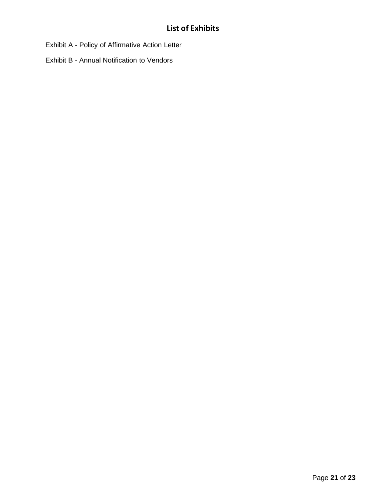Exhibit A - Policy of Affirmative Action Letter

Exhibit B - Annual Notification to Vendors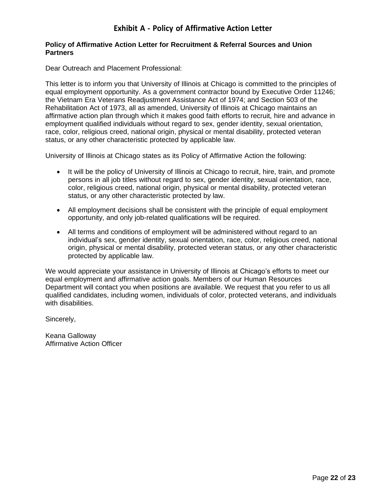# **Exhibit A - Policy of Affirmative Action Letter**

#### **Policy of Affirmative Action Letter for Recruitment & Referral Sources and Union Partners**

Dear Outreach and Placement Professional:

This letter is to inform you that University of Illinois at Chicago is committed to the principles of equal employment opportunity. As a government contractor bound by Executive Order 11246; the Vietnam Era Veterans Readjustment Assistance Act of 1974; and Section 503 of the Rehabilitation Act of 1973, all as amended, University of Illinois at Chicago maintains an affirmative action plan through which it makes good faith efforts to recruit, hire and advance in employment qualified individuals without regard to sex, gender identity, sexual orientation, race, color, religious creed, national origin, physical or mental disability, protected veteran status, or any other characteristic protected by applicable law.

University of Illinois at Chicago states as its Policy of Affirmative Action the following:

- It will be the policy of University of Illinois at Chicago to recruit, hire, train, and promote persons in all job titles without regard to sex, gender identity, sexual orientation, race, color, religious creed, national origin, physical or mental disability, protected veteran status, or any other characteristic protected by law.
- All employment decisions shall be consistent with the principle of equal employment opportunity, and only job-related qualifications will be required.
- All terms and conditions of employment will be administered without regard to an individual's sex, gender identity, sexual orientation, race, color, religious creed, national origin, physical or mental disability, protected veteran status, or any other characteristic protected by applicable law.

We would appreciate your assistance in University of Illinois at Chicago's efforts to meet our equal employment and affirmative action goals. Members of our Human Resources Department will contact you when positions are available. We request that you refer to us all qualified candidates, including women, individuals of color, protected veterans, and individuals with disabilities.

Sincerely,

Keana Galloway Affirmative Action Officer